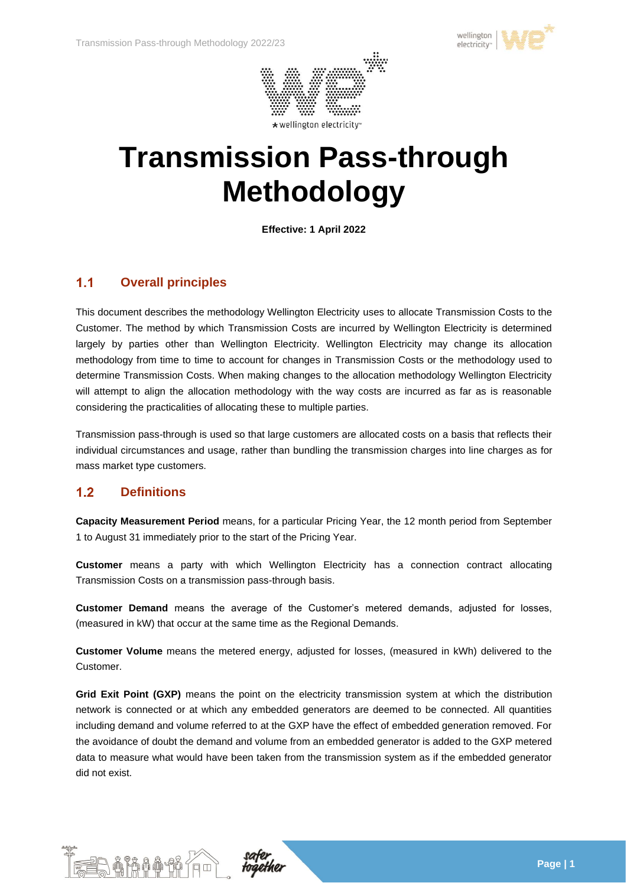



# **Transmission Pass-through Methodology**

**Effective: 1 April 2022**

### $1.1$ **Overall principles**

This document describes the methodology Wellington Electricity uses to allocate Transmission Costs to the Customer. The method by which Transmission Costs are incurred by Wellington Electricity is determined largely by parties other than Wellington Electricity. Wellington Electricity may change its allocation methodology from time to time to account for changes in Transmission Costs or the methodology used to determine Transmission Costs. When making changes to the allocation methodology Wellington Electricity will attempt to align the allocation methodology with the way costs are incurred as far as is reasonable considering the practicalities of allocating these to multiple parties.

Transmission pass-through is used so that large customers are allocated costs on a basis that reflects their individual circumstances and usage, rather than bundling the transmission charges into line charges as for mass market type customers.

### $1.2$ **Definitions**

**Capacity Measurement Period** means, for a particular Pricing Year, the 12 month period from September 1 to August 31 immediately prior to the start of the Pricing Year.

**Customer** means a party with which Wellington Electricity has a connection contract allocating Transmission Costs on a transmission pass-through basis.

**Customer Demand** means the average of the Customer's metered demands, adjusted for losses, (measured in kW) that occur at the same time as the Regional Demands.

**Customer Volume** means the metered energy, adjusted for losses, (measured in kWh) delivered to the Customer.

Grid Exit Point (GXP) means the point on the electricity transmission system at which the distribution network is connected or at which any embedded generators are deemed to be connected. All quantities including demand and volume referred to at the GXP have the effect of embedded generation removed. For the avoidance of doubt the demand and volume from an embedded generator is added to the GXP metered data to measure what would have been taken from the transmission system as if the embedded generator did not exist.



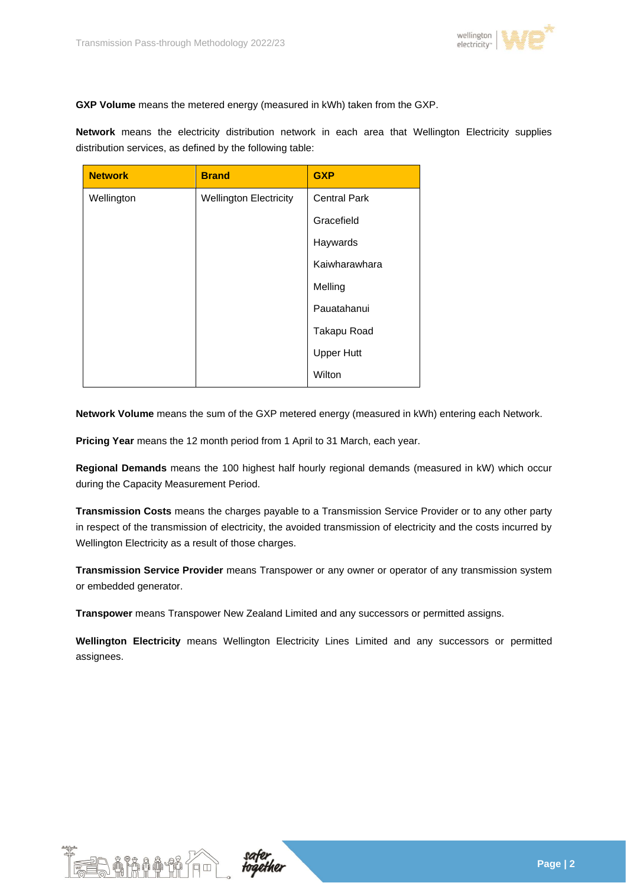

**GXP Volume** means the metered energy (measured in kWh) taken from the GXP.

**Network** means the electricity distribution network in each area that Wellington Electricity supplies distribution services, as defined by the following table:

| <b>Network</b> | <b>Brand</b>                  | <b>GXP</b>          |  |
|----------------|-------------------------------|---------------------|--|
| Wellington     | <b>Wellington Electricity</b> | <b>Central Park</b> |  |
|                |                               | Gracefield          |  |
|                |                               | Haywards            |  |
|                |                               | Kaiwharawhara       |  |
|                |                               | Melling             |  |
|                |                               | Pauatahanui         |  |
|                |                               | Takapu Road         |  |
|                |                               | <b>Upper Hutt</b>   |  |
|                |                               | Wilton              |  |

**Network Volume** means the sum of the GXP metered energy (measured in kWh) entering each Network.

**Pricing Year** means the 12 month period from 1 April to 31 March, each year.

**Regional Demands** means the 100 highest half hourly regional demands (measured in kW) which occur during the Capacity Measurement Period.

**Transmission Costs** means the charges payable to a Transmission Service Provider or to any other party in respect of the transmission of electricity, the avoided transmission of electricity and the costs incurred by Wellington Electricity as a result of those charges.

**Transmission Service Provider** means Transpower or any owner or operator of any transmission system or embedded generator.

**Transpower** means Transpower New Zealand Limited and any successors or permitted assigns.

**Wellington Electricity** means Wellington Electricity Lines Limited and any successors or permitted assignees.



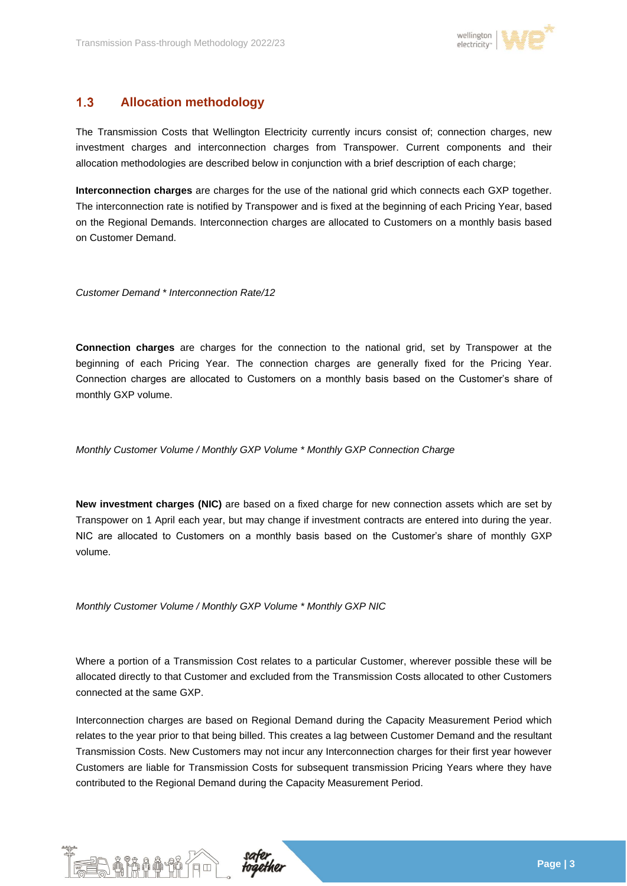

# $1.3$ **Allocation methodology**

The Transmission Costs that Wellington Electricity currently incurs consist of; connection charges, new investment charges and interconnection charges from Transpower. Current components and their allocation methodologies are described below in conjunction with a brief description of each charge;

**Interconnection charges** are charges for the use of the national grid which connects each GXP together. The interconnection rate is notified by Transpower and is fixed at the beginning of each Pricing Year, based on the Regional Demands. Interconnection charges are allocated to Customers on a monthly basis based on Customer Demand.

*Customer Demand \* Interconnection Rate/12*

**Connection charges** are charges for the connection to the national grid, set by Transpower at the beginning of each Pricing Year. The connection charges are generally fixed for the Pricing Year. Connection charges are allocated to Customers on a monthly basis based on the Customer's share of monthly GXP volume.

*Monthly Customer Volume / Monthly GXP Volume \* Monthly GXP Connection Charge*

**New investment charges (NIC)** are based on a fixed charge for new connection assets which are set by Transpower on 1 April each year, but may change if investment contracts are entered into during the year. NIC are allocated to Customers on a monthly basis based on the Customer's share of monthly GXP volume.

*Monthly Customer Volume / Monthly GXP Volume \* Monthly GXP NIC*

Where a portion of a Transmission Cost relates to a particular Customer, wherever possible these will be allocated directly to that Customer and excluded from the Transmission Costs allocated to other Customers connected at the same GXP.

Interconnection charges are based on Regional Demand during the Capacity Measurement Period which relates to the year prior to that being billed. This creates a lag between Customer Demand and the resultant Transmission Costs. New Customers may not incur any Interconnection charges for their first year however Customers are liable for Transmission Costs for subsequent transmission Pricing Years where they have contributed to the Regional Demand during the Capacity Measurement Period.